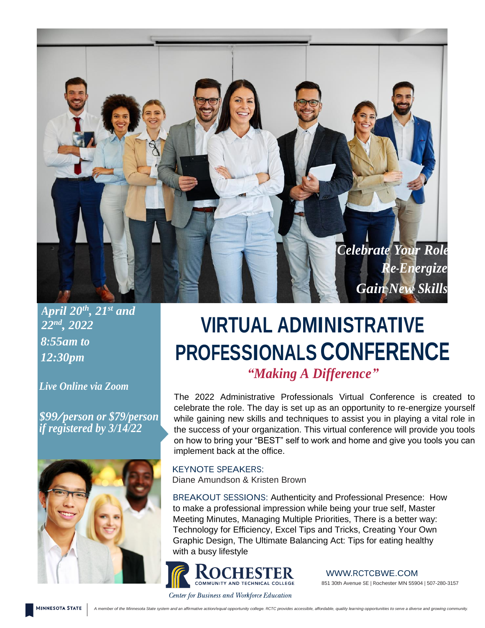

*April 20th , 21st and 22nd , 2022 8:55am to 12:30pm*

*Live Online via Zoom*

*\$99/person or \$79/person if registered by 3/14/22*



## **VIRTUAL ADMINISTRATIVE PROFESSIONALS CONFERENCE** *"Making A Difference"*

The 2022 Administrative Professionals Virtual Conference is created to celebrate the role. The day is set up as an opportunity to re-energize yourself while gaining new skills and techniques to assist you in playing a vital role in the success of your organization. This virtual conference will provide you tools on how to bring your "BEST" self to work and home and give you tools you can implement back at the office.

KEYNOTE SPEAKERS: Diane Amundson & Kristen Brown

BREAKOUT SESSIONS: Authenticity and Professional Presence: How to make a professional impression while being your true self, Master Meeting Minutes, Managing Multiple Priorities, There is a better way: Technology for Efficiency, Excel Tips and Tricks, Creating Your Own Graphic Design, The Ultimate Balancing Act: Tips for eating healthy with a busy lifestyle



WWW.RCTCBWE.COM 851 30th Avenue SE | Rochester MN 55904 | 507-280-3157

Center for Business and Workforce Education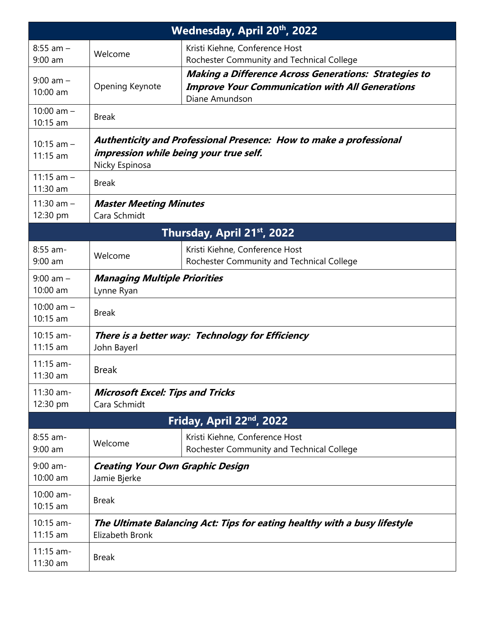| Wednesday, April 20th, 2022 |                                                                                                                                |                                                                                                                                          |  |  |  |  |  |  |
|-----------------------------|--------------------------------------------------------------------------------------------------------------------------------|------------------------------------------------------------------------------------------------------------------------------------------|--|--|--|--|--|--|
| $8:55$ am $-$<br>$9:00$ am  | Welcome                                                                                                                        | Kristi Kiehne, Conference Host<br>Rochester Community and Technical College                                                              |  |  |  |  |  |  |
| $9:00$ am $-$<br>10:00 am   | Opening Keynote                                                                                                                | <b>Making a Difference Across Generations: Strategies to</b><br><b>Improve Your Communication with All Generations</b><br>Diane Amundson |  |  |  |  |  |  |
| 10:00 am $-$<br>10:15 am    | <b>Break</b>                                                                                                                   |                                                                                                                                          |  |  |  |  |  |  |
| $10:15$ am $-$<br>11:15 am  | Authenticity and Professional Presence: How to make a professional<br>impression while being your true self.<br>Nicky Espinosa |                                                                                                                                          |  |  |  |  |  |  |
| 11:15 $am -$<br>11:30 am    | <b>Break</b>                                                                                                                   |                                                                                                                                          |  |  |  |  |  |  |
| 11:30 am $-$<br>12:30 pm    | <b>Master Meeting Minutes</b><br>Cara Schmidt                                                                                  |                                                                                                                                          |  |  |  |  |  |  |
| Thursday, April 21st, 2022  |                                                                                                                                |                                                                                                                                          |  |  |  |  |  |  |
| $8:55$ am-<br>$9:00$ am     | Welcome                                                                                                                        | Kristi Kiehne, Conference Host<br>Rochester Community and Technical College                                                              |  |  |  |  |  |  |
| $9:00$ am $-$<br>10:00 am   | <b>Managing Multiple Priorities</b><br>Lynne Ryan                                                                              |                                                                                                                                          |  |  |  |  |  |  |
| 10:00 am $-$<br>10:15 am    | <b>Break</b>                                                                                                                   |                                                                                                                                          |  |  |  |  |  |  |
| 10:15 am-<br>$11:15$ am     | There is a better way: Technology for Efficiency<br>John Bayerl                                                                |                                                                                                                                          |  |  |  |  |  |  |
| 11:15 am-<br>11:30 am       | <b>Break</b>                                                                                                                   |                                                                                                                                          |  |  |  |  |  |  |
| 11:30 am-<br>12:30 pm       | <b>Microsoft Excel: Tips and Tricks</b><br>Cara Schmidt                                                                        |                                                                                                                                          |  |  |  |  |  |  |
|                             |                                                                                                                                | Friday, April 22nd, 2022                                                                                                                 |  |  |  |  |  |  |
| 8:55 am-<br>$9:00$ am       | Welcome                                                                                                                        | Kristi Kiehne, Conference Host<br>Rochester Community and Technical College                                                              |  |  |  |  |  |  |
| $9:00$ am-<br>10:00 am      | <b>Creating Your Own Graphic Design</b><br>Jamie Bjerke                                                                        |                                                                                                                                          |  |  |  |  |  |  |
| 10:00 am-<br>10:15 am       | <b>Break</b>                                                                                                                   |                                                                                                                                          |  |  |  |  |  |  |
| 10:15 am-<br>$11:15$ am     | The Ultimate Balancing Act: Tips for eating healthy with a busy lifestyle<br>Elizabeth Bronk                                   |                                                                                                                                          |  |  |  |  |  |  |
| $11:15$ am-<br>11:30 am     | <b>Break</b>                                                                                                                   |                                                                                                                                          |  |  |  |  |  |  |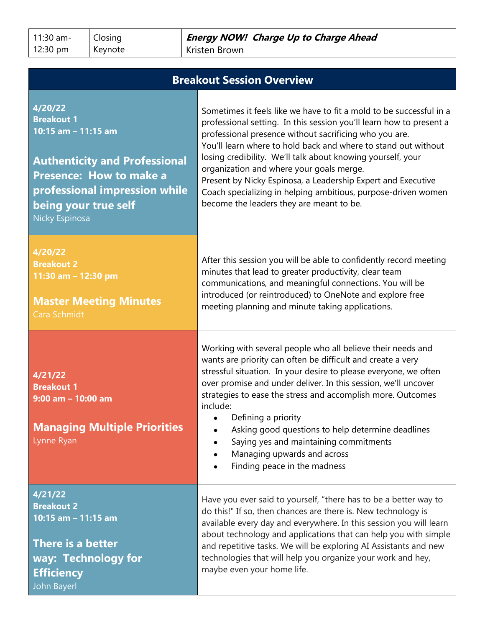11:30 am-12:30 pm

Closing Keynote

| <b>Breakout Session Overview</b>                                                                                                                                                                                |                                                                                                                                                                                                                                                                                                                                                                                                                                                                                                                                                                |  |  |  |  |  |
|-----------------------------------------------------------------------------------------------------------------------------------------------------------------------------------------------------------------|----------------------------------------------------------------------------------------------------------------------------------------------------------------------------------------------------------------------------------------------------------------------------------------------------------------------------------------------------------------------------------------------------------------------------------------------------------------------------------------------------------------------------------------------------------------|--|--|--|--|--|
| 4/20/22<br><b>Breakout 1</b><br>10:15 am - 11:15 am<br><b>Authenticity and Professional</b><br><b>Presence: How to make a</b><br>professional impression while<br>being your true self<br><b>Nicky Espinosa</b> | Sometimes it feels like we have to fit a mold to be successful in a<br>professional setting. In this session you'll learn how to present a<br>professional presence without sacrificing who you are.<br>You'll learn where to hold back and where to stand out without<br>losing credibility. We'll talk about knowing yourself, your<br>organization and where your goals merge.<br>Present by Nicky Espinosa, a Leadership Expert and Executive<br>Coach specializing in helping ambitious, purpose-driven women<br>become the leaders they are meant to be. |  |  |  |  |  |
| 4/20/22<br><b>Breakout 2</b><br>11:30 am - 12:30 pm<br><b>Master Meeting Minutes</b><br>Cara Schmidt                                                                                                            | After this session you will be able to confidently record meeting<br>minutes that lead to greater productivity, clear team<br>communications, and meaningful connections. You will be<br>introduced (or reintroduced) to OneNote and explore free<br>meeting planning and minute taking applications.                                                                                                                                                                                                                                                          |  |  |  |  |  |
| 4/21/22<br><b>Breakout 1</b><br>$9:00$ am $-10:00$ am<br><b>Managing Multiple Priorities</b><br>Lynne Ryan                                                                                                      | Working with several people who all believe their needs and<br>wants are priority can often be difficult and create a very<br>stressful situation. In your desire to please everyone, we often<br>over promise and under deliver. In this session, we'll uncover<br>strategies to ease the stress and accomplish more. Outcomes<br>include:<br>Defining a priority<br>Asking good questions to help determine deadlines<br>Saying yes and maintaining commitments<br>Managing upwards and across<br>Finding peace in the madness                               |  |  |  |  |  |
| 4/21/22<br><b>Breakout 2</b><br>10:15 am - 11:15 am<br>There is a better<br>way: Technology for<br><b>Efficiency</b><br>John Bayerl                                                                             | Have you ever said to yourself, "there has to be a better way to<br>do this!" If so, then chances are there is. New technology is<br>available every day and everywhere. In this session you will learn<br>about technology and applications that can help you with simple<br>and repetitive tasks. We will be exploring AI Assistants and new<br>technologies that will help you organize your work and hey,<br>maybe even your home life.                                                                                                                    |  |  |  |  |  |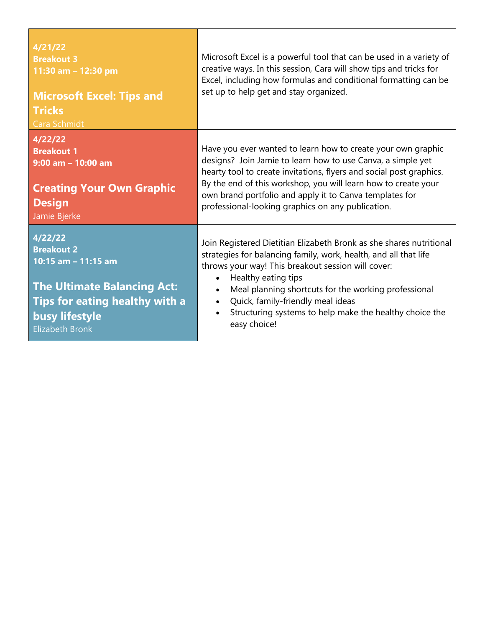| 4/21/22<br><b>Breakout 3</b><br>11:30 am - 12:30 pm<br><b>Microsoft Excel: Tips and</b><br><b>Tricks</b><br>Cara Schmidt                                                       | Microsoft Excel is a powerful tool that can be used in a variety of<br>creative ways. In this session, Cara will show tips and tricks for<br>Excel, including how formulas and conditional formatting can be<br>set up to help get and stay organized.                                                                                                                                                                 |
|--------------------------------------------------------------------------------------------------------------------------------------------------------------------------------|------------------------------------------------------------------------------------------------------------------------------------------------------------------------------------------------------------------------------------------------------------------------------------------------------------------------------------------------------------------------------------------------------------------------|
| 4/22/22<br><b>Breakout 1</b><br>$9:00$ am - 10:00 am<br><b>Creating Your Own Graphic</b><br><b>Design</b><br>Jamie Bjerke                                                      | Have you ever wanted to learn how to create your own graphic<br>designs? Join Jamie to learn how to use Canva, a simple yet<br>hearty tool to create invitations, flyers and social post graphics.<br>By the end of this workshop, you will learn how to create your<br>own brand portfolio and apply it to Canva templates for<br>professional-looking graphics on any publication.                                   |
| 4/22/22<br><b>Breakout 2</b><br>10:15 am - 11:15 am<br><b>The Ultimate Balancing Act:</b><br><b>Tips for eating healthy with a</b><br>busy lifestyle<br><b>Elizabeth Bronk</b> | Join Registered Dietitian Elizabeth Bronk as she shares nutritional<br>strategies for balancing family, work, health, and all that life<br>throws your way! This breakout session will cover:<br>Healthy eating tips<br>Meal planning shortcuts for the working professional<br>$\bullet$<br>Quick, family-friendly meal ideas<br>$\bullet$<br>Structuring systems to help make the healthy choice the<br>easy choice! |

<u> 1989 - Johann Stoff, deutscher Stoffen und der Stoffen und der Stoffen und der Stoffen und der Stoffen und der</u>

 $\overline{\phantom{0}}$